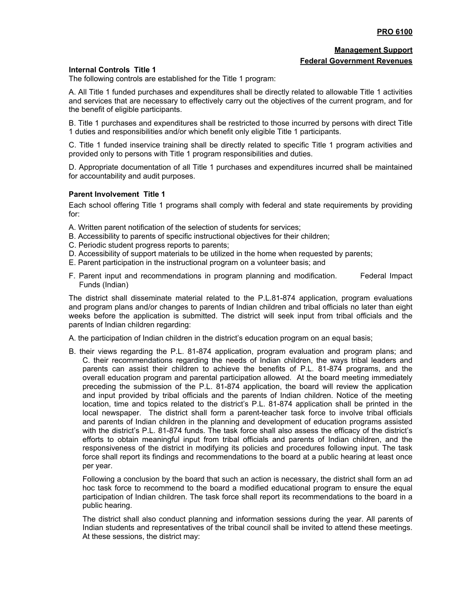## **Management Support Federal Government Revenues**

## **Internal Controls Title 1**

The following controls are established for the Title 1 program:

A. All Title 1 funded purchases and expenditures shall be directly related to allowable Title 1 activities and services that are necessary to effectively carry out the objectives of the current program, and for the benefit of eligible participants.

B. Title 1 purchases and expenditures shall be restricted to those incurred by persons with direct Title 1 duties and responsibilities and/or which benefit only eligible Title 1 participants.

C. Title 1 funded inservice training shall be directly related to specific Title 1 program activities and provided only to persons with Title 1 program responsibilities and duties.

D. Appropriate documentation of all Title 1 purchases and expenditures incurred shall be maintained for accountability and audit purposes.

## **Parent Involvement Title 1**

Each school offering Title 1 programs shall comply with federal and state requirements by providing for:

- A. Written parent notification of the selection of students for services;
- B. Accessibility to parents of specific instructional objectives for their children;
- C. Periodic student progress reports to parents;
- D. Accessibility of support materials to be utilized in the home when requested by parents;
- E. Parent participation in the instructional program on a volunteer basis; and
- F. Parent input and recommendations in program planning and modification. Federal Impact Funds (Indian)

The district shall disseminate material related to the P.L.81-874 application, program evaluations and program plans and/or changes to parents of Indian children and tribal officials no later than eight weeks before the application is submitted. The district will seek input from tribal officials and the parents of Indian children regarding:

A. the participation of Indian children in the district's education program on an equal basis;

B. their views regarding the P.L. 81-874 application, program evaluation and program plans; and C. their recommendations regarding the needs of Indian children, the ways tribal leaders and parents can assist their children to achieve the benefits of P.L. 81-874 programs, and the overall education program and parental participation allowed. At the board meeting immediately preceding the submission of the P.L. 81-874 application, the board will review the application and input provided by tribal officials and the parents of Indian children. Notice of the meeting location, time and topics related to the district's P.L. 81-874 application shall be printed in the local newspaper. The district shall form a parent-teacher task force to involve tribal officials and parents of Indian children in the planning and development of education programs assisted with the district's P.L. 81-874 funds. The task force shall also assess the efficacy of the district's efforts to obtain meaningful input from tribal officials and parents of Indian children, and the responsiveness of the district in modifying its policies and procedures following input. The task force shall report its findings and recommendations to the board at a public hearing at least once per year.

Following a conclusion by the board that such an action is necessary, the district shall form an ad hoc task force to recommend to the board a modified educational program to ensure the equal participation of Indian children. The task force shall report its recommendations to the board in a public hearing.

The district shall also conduct planning and information sessions during the year. All parents of Indian students and representatives of the tribal council shall be invited to attend these meetings. At these sessions, the district may: